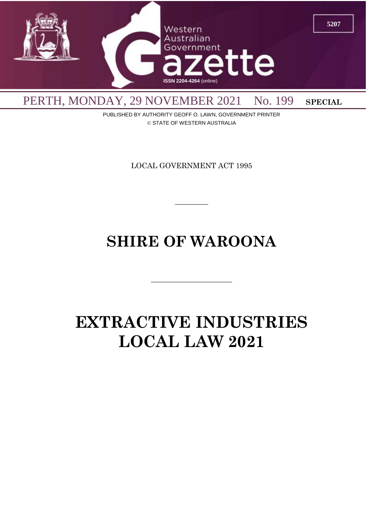

PUBLISHED BY AUTHORITY GEOFF O. LAWN, GOVERNMENT PRINTER © STATE OF WESTERN AUSTRALIA

LOCAL GOVERNMENT ACT 1995

 $\overline{\phantom{a}}$ 

# **SHIRE OF WAROONA**

 $\overline{\phantom{a}}$  , and the contract of the contract of the contract of the contract of the contract of the contract of the contract of the contract of the contract of the contract of the contract of the contract of the contrac

# **EXTRACTIVE INDUSTRIES LOCAL LAW 2021**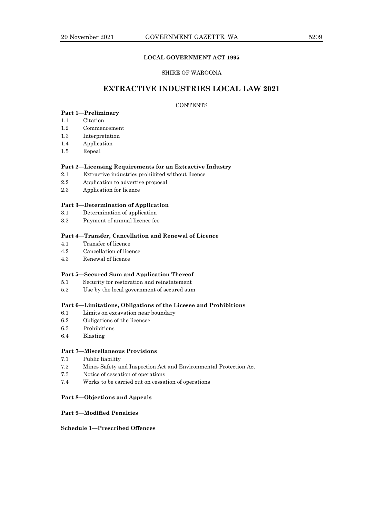# **LOCAL GOVERNMENT ACT 1995**

# SHIRE OF WAROONA

# **EXTRACTIVE INDUSTRIES LOCAL LAW 2021**

# **CONTENTS**

# **Part 1—Preliminary**

- 1.1 Citation
- 1.2 Commencement
- 1.3 Interpretation
- 1.4 Application
- 1.5 Repeal

#### **Part 2—Licensing Requirements for an Extractive Industry**

- 2.1 Extractive industries prohibited without licence
- 2.2 Application to advertise proposal
- 2.3 Application for licence

# **Part 3—Determination of Application**

- 3.1 Determination of application
- 3.2 Payment of annual licence fee

# **Part 4—Transfer, Cancellation and Renewal of Licence**

- 4.1 Transfer of licence
- 4.2 Cancellation of licence
- 4.3 Renewal of licence

# **Part 5—Secured Sum and Application Thereof**

- 5.1 Security for restoration and reinstatement
- 5.2 Use by the local government of secured sum

## **Part 6—Limitations, Obligations of the Licesee and Prohibitions**

- 6.1 Limits on excavation near boundary
- 6.2 Obligations of the licensee
- 6.3 Prohibitions
- 6.4 Blasting

# **Part 7—Miscellaneous Provisions**

- 7.1 Public liability
- 7.2 Mines Safety and Inspection Act and Environmental Protection Act
- 7.3 Notice of cessation of operations
- 7.4 Works to be carried out on cessation of operations

#### **Part 8—Objections and Appeals**

## **Part 9—Modified Penalties**

# **Schedule 1—Prescribed Offences**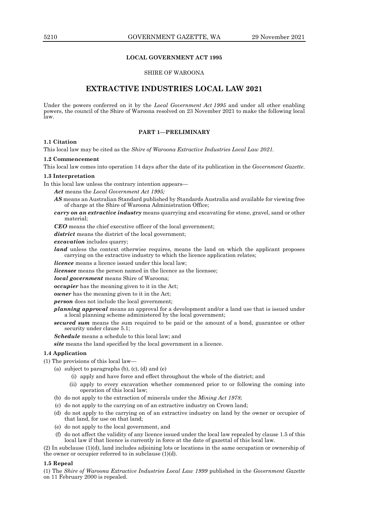# **LOCAL GOVERNMENT ACT 1995**

# SHIRE OF WAROONA

# **EXTRACTIVE INDUSTRIES LOCAL LAW 2021**

Under the powers conferred on it by the *Local Government Act 1995* and under all other enabling powers, the council of the Shire of Waroona resolved on 23 November 2021 to make the following local law.

#### **PART 1—PRELIMINARY**

## **1.1 Citation**

This local law may be cited as the *Shire of Waroona Extractive Industries Local Law 2021.*

#### **1.2 Commencement**

This local law comes into operation 14 days after the date of its publication in the *Government Gazette*.

#### **1.3 Interpretation**

In this local law unless the contrary intention appears—

- *Act* means the *Local Government Act 1995;*
- *AS* means an Australian Standard published by Standards Australia and available for viewing free of charge at the Shire of Waroona Administration Office;
- *carry on an extractive industry* means quarrying and excavating for stone, gravel, sand or other material;

*CEO* means the chief executive officer of the local government;

district means the district of the local government;

*excavation* includes quarry;

land unless the context otherwise requires, means the land on which the applicant proposes carrying on the extractive industry to which the licence application relates;

*licence* means a licence issued under this local law;

*licensee* means the person named in the licence as the licensee;

*local government* means Shire of Waroona;

*occupier* has the meaning given to it in the Act;

*owner* has the meaning given to it in the Act;

*person* does not include the local government;

*planning approval* means an approval for a development and/or a land use that is issued under a local planning scheme administered by the local government;

*secured sum* means the sum required to be paid or the amount of a bond, guarantee or other security under clause 5.1;

*Schedule* means a schedule to this local law; and

*site* means the land specified by the local government in a licence.

#### **1.4 Application**

(1) The provisions of this local law—

- (a) subject to paragraphs (b), (c), (d) and (e)
	- (i) apply and have force and effect throughout the whole of the district; and
	- (ii) apply to every excavation whether commenced prior to or following the coming into operation of this local law;
- (b) do not apply to the extraction of minerals under the *Mining Act 1978*;
- (c) do not apply to the carrying on of an extractive industry on Crown land;
- (d) do not apply to the carrying on of an extractive industry on land by the owner or occupier of that land, for use on that land;
- (e) do not apply to the local government, and
- (f) do not affect the validity of any licence issued under the local law repealed by clause 1.5 of this local law if that licence is currently in force at the date of gazettal of this local law.

(2) In subclause (1)(d), land includes adjoining lots or locations in the same occupation or ownership of the owner or occupier referred to in subclause  $(1)(d)$ .

#### **1.5 Repeal**

(1) The *Shire of Waroona Extractive Industries Local Law 1999* published in the *Government Gazette* on 11 February 2000 is repealed.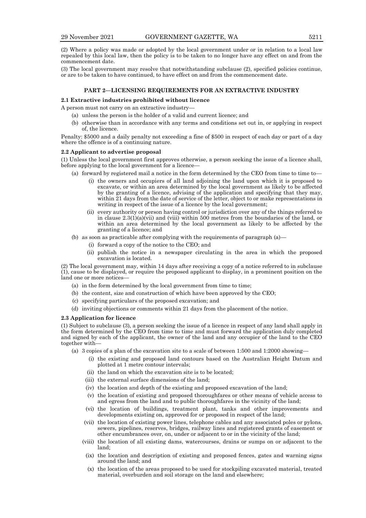(2) Where a policy was made or adopted by the local government under or in relation to a local law repealed by this local law, then the policy is to be taken to no longer have any effect on and from the commencement date.

(3) The local government may resolve that notwithstanding subclause (2), specified policies continue, or are to be taken to have continued, to have effect on and from the commencement date.

# **PART 2—LICENSING REQUIREMENTS FOR AN EXTRACTIVE INDUSTRY**

#### **2.1 Extractive industries prohibited without licence**

A person must not carry on an extractive industry—

- (a) unless the person is the holder of a valid and current licence; and
- (b) otherwise than in accordance with any terms and conditions set out in, or applying in respect of, the licence.

Penalty: \$5000 and a daily penalty not exceeding a fine of \$500 in respect of each day or part of a day where the offence is of a continuing nature.

#### **2.2 Applicant to advertise proposal**

(1) Unless the local government first approves otherwise, a person seeking the issue of a licence shall, before applying to the local government for a licence—

- (a) forward by registered mail a notice in the form determined by the CEO from time to time to—
	- (i) the owners and occupiers of all land adjoining the land upon which it is proposed to excavate, or within an area determined by the local government as likely to be affected by the granting of a licence, advising of the application and specifying that they may, within 21 days from the date of service of the letter, object to or make representations in writing in respect of the issue of a licence by the local government;
	- (ii) every authority or person having control or jurisdiction over any of the things referred to in clause  $2.3(1)(a)(vi)$  and (viii) within 500 metres from the boundaries of the land, or within an area determined by the local government as likely to be affected by the granting of a licence; and
- (b) as soon as practicable after complying with the requirements of paragraph (a)—
	- (i) forward a copy of the notice to the CEO; and
	- (ii) publish the notice in a newspaper circulating in the area in which the proposed excavation is located.

(2) The local government may, within 14 days after receiving a copy of a notice referred to in subclause (1), cause to be displayed, or require the proposed applicant to display, in a prominent position on the land one or more notices-

- (a) in the form determined by the local government from time to time;
- (b) the content, size and construction of which have been approved by the CEO;
- (c) specifying particulars of the proposed excavation; and
- (d) inviting objections or comments within 21 days from the placement of the notice.

#### **2.3 Application for licence**

(1) Subject to subclause (3), a person seeking the issue of a licence in respect of any land shall apply in the form determined by the CEO from time to time and must forward the application duly completed and signed by each of the applicant, the owner of the land and any occupier of the land to the CEO together with—

- (a) 3 copies of a plan of the excavation site to a scale of between 1:500 and 1:2000 showing—
	- (i) the existing and proposed land contours based on the Australian Height Datum and plotted at 1 metre contour intervals;
	- (ii) the land on which the excavation site is to be located;
	- (iii) the external surface dimensions of the land;
	- (iv) the location and depth of the existing and proposed excavation of the land;
	- (v) the location of existing and proposed thoroughfares or other means of vehicle access to and egress from the land and to public thoroughfares in the vicinity of the land;
	- (vi) the location of buildings, treatment plant, tanks and other improvements and developments existing on, approved for or proposed in respect of the land;
	- (vii) the location of existing power lines, telephone cables and any associated poles or pylons, sewers, pipelines, reserves, bridges, railway lines and registered grants of easement or other encumbrances over, on, under or adjacent to or in the vicinity of the land;
	- (viii) the location of all existing dams, watercourses, drains or sumps on or adjacent to the land;
		- (ix) the location and description of existing and proposed fences, gates and warning signs around the land; and
		- (x) the location of the areas proposed to be used for stockpiling excavated material, treated material, overburden and soil storage on the land and elsewhere;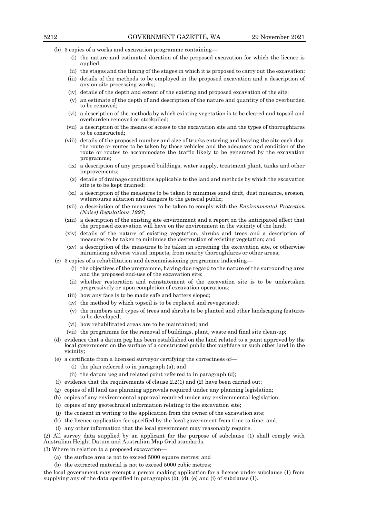- (b) 3 copies of a works and excavation programme containing—
	- (i) the nature and estimated duration of the proposed excavation for which the licence is applied;
	- (ii) the stages and the timing of the stages in which it is proposed to carry out the excavation;
	- (iii) details of the methods to be employed in the proposed excavation and a description of any on-site processing works;
	- (iv) details of the depth and extent of the existing and proposed excavation of the site;
	- (v) an estimate of the depth of and description of the nature and quantity of the overburden to be removed;
	- (vi) a description of the methods by which existing vegetation is to be cleared and topsoil and overburden removed or stockpiled;
	- (vii) a description of the means of access to the excavation site and the types of thoroughfares to be constructed;
	- (viii) details of the proposed number and size of trucks entering and leaving the site each day, the route or routes to be taken by those vehicles and the adequacy and condition of the route or routes to accommodate the traffic likely to be generated by the excavation programme;
		- (ix) a description of any proposed buildings, water supply, treatment plant, tanks and other improvements;
		- (x) details of drainage conditions applicable to the land and methods by which the excavation site is to be kept drained;
		- (xi) a description of the measures to be taken to minimise sand drift, dust nuisance, erosion, watercourse siltation and dangers to the general public;
	- (xii) a description of the measures to be taken to comply with the *Environmental Protection (Noise) Regulations 1997*;
	- (xiii) a description of the existing site environment and a report on the anticipated effect that the proposed excavation will have on the environment in the vicinity of the land;
	- (xiv) details of the nature of existing vegetation, shrubs and trees and a description of measures to be taken to minimise the destruction of existing vegetation; and
	- (xv) a description of the measures to be taken in screening the excavation site, or otherwise minimising adverse visual impacts, from nearby thoroughfares or other areas;
- (c) 3 copies of a rehabilitation and decommissioning programme indicating—
	- (i) the objectives of the programme, having due regard to the nature of the surrounding area and the proposed end-use of the excavation site;
	- (ii) whether restoration and reinstatement of the excavation site is to be undertaken progressively or upon completion of excavation operations;
	- (iii) how any face is to be made safe and batters sloped;
	- (iv) the method by which topsoil is to be replaced and revegetated;
	- (v) the numbers and types of trees and shrubs to be planted and other landscaping features to be developed;
	- (vi) how rehabilitated areas are to be maintained; and
	- (vii) the programme for the removal of buildings, plant, waste and final site clean-up;
- (d) evidence that a datum peg has been established on the land related to a point approved by the local government on the surface of a constructed public thoroughfare or such other land in the vicinity;
- (e) a certificate from a licensed surveyor certifying the correctness of—
	- (i) the plan referred to in paragraph (a); and
	- (ii) the datum peg and related point referred to in paragraph (d);
- (f) evidence that the requirements of clause 2.2(1) and (2) have been carried out;
- (g) copies of all land use planning approvals required under any planning legislation;
- (h) copies of any environmental approval required under any environmental legislation;
- (i) copies of any geotechnical information relating to the excavation site;
- (j) the consent in writing to the application from the owner of the excavation site;
- (k) the licence application fee specified by the local government from time to time; and,
- (l) any other information that the local government may reasonably require.

(2) All survey data supplied by an applicant for the purpose of subclause (1) shall comply with Australian Height Datum and Australian Map Grid standards.

(3) Where in relation to a proposed excavation—

- (a) the surface area is not to exceed 5000 square metres; and
- (b) the extracted material is not to exceed 5000 cubic metres;

the local government may exempt a person making application for a licence under subclause (1) from supplying any of the data specified in paragraphs (b), (d), (e) and (i) of subclause (1).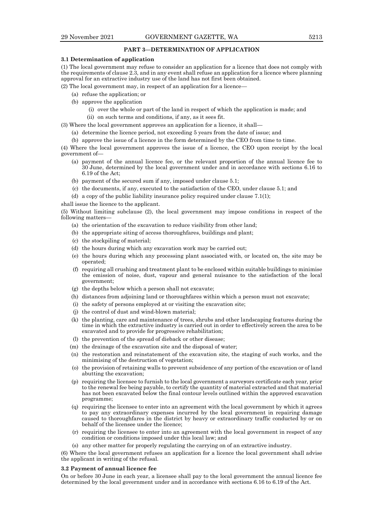## **PART 3—DETERMINATION OF APPLICATION**

#### **3.1 Determination of application**

(1) The local government may refuse to consider an application for a licence that does not comply with the requirements of clause 2.3, and in any event shall refuse an application for a licence where planning approval for an extractive industry use of the land has not first been obtained.

(2) The local government may, in respect of an application for a licence—

- (a) refuse the application; or
- (b) approve the application
	- (i) over the whole or part of the land in respect of which the application is made; and
	- (ii) on such terms and conditions, if any, as it sees fit.
- (3) Where the local government approves an application for a licence, it shall—
	- (a) determine the licence period, not exceeding 5 years from the date of issue; and
	- (b) approve the issue of a licence in the form determined by the CEO from time to time.

(4) Where the local government approves the issue of a licence, the CEO upon receipt by the local government of—

- (a) payment of the annual licence fee, or the relevant proportion of the annual licence fee to 30 June, determined by the local government under and in accordance with sections 6.16 to 6.19 of the Act;
- (b) payment of the secured sum if any, imposed under clause 5.1;
- (c) the documents, if any, executed to the satisfaction of the CEO, under clause 5.1; and
- (d) a copy of the public liability insurance policy required under clause 7.1(1);
- shall issue the licence to the applicant.

(5) Without limiting subclause (2), the local government may impose conditions in respect of the following matters—

- (a) the orientation of the excavation to reduce visibility from other land;
- (b) the appropriate siting of access thoroughfares, buildings and plant;
- (c) the stockpiling of material;
- (d) the hours during which any excavation work may be carried out;
- (e) the hours during which any processing plant associated with, or located on, the site may be operated;
- (f) requiring all crushing and treatment plant to be enclosed within suitable buildings to minimise the emission of noise, dust, vapour and general nuisance to the satisfaction of the local government;
- (g) the depths below which a person shall not excavate;
- (h) distances from adjoining land or thoroughfares within which a person must not excavate;
- (i) the safety of persons employed at or visiting the excavation site;
- (j) the control of dust and wind-blown material;
- (k) the planting, care and maintenance of trees, shrubs and other landscaping features during the time in which the extractive industry is carried out in order to effectively screen the area to be excavated and to provide for progressive rehabilitation;
- (l) the prevention of the spread of dieback or other disease;
- (m) the drainage of the excavation site and the disposal of water;
- (n) the restoration and reinstatement of the excavation site, the staging of such works, and the minimising of the destruction of vegetation;
- (o) the provision of retaining walls to prevent subsidence of any portion of the excavation or of land abutting the excavation;
- (p) requiring the licensee to furnish to the local government a surveyors certificate each year, prior to the renewal fee being payable, to certify the quantity of material extracted and that material has not been excavated below the final contour levels outlined within the approved excavation programme;
- (q) requiring the licensee to enter into an agreement with the local government by which it agrees to pay any extraordinary expenses incurred by the local government in repairing damage caused to thoroughfares in the district by heavy or extraordinary traffic conducted by or on behalf of the licensee under the licence;
- (r) requiring the licensee to enter into an agreement with the local government in respect of any condition or conditions imposed under this local law; and
- (s) any other matter for properly regulating the carrying on of an extractive industry.

(6) Where the local government refuses an application for a licence the local government shall advise the applicant in writing of the refusal.

#### **3.2 Payment of annual licence fee**

On or before 30 June in each year, a licensee shall pay to the local government the annual licence fee determined by the local government under and in accordance with sections 6.16 to 6.19 of the Act.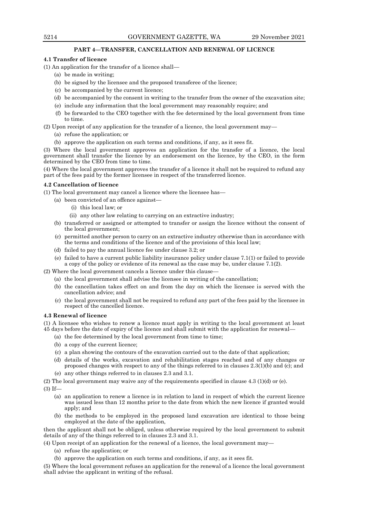#### **PART 4—TRANSFER, CANCELLATION AND RENEWAL OF LICENCE**

#### **4.1 Transfer of licence**

(1) An application for the transfer of a licence shall—

- (a) be made in writing;
- (b) be signed by the licensee and the proposed transferee of the licence;
- (c) be accompanied by the current licence;
- (d) be accompanied by the consent in writing to the transfer from the owner of the excavation site;
- (e) include any information that the local government may reasonably require; and
- (f) be forwarded to the CEO together with the fee determined by the local government from time to time.

(2) Upon receipt of any application for the transfer of a licence, the local government may—

- (a) refuse the application; or
- (b) approve the application on such terms and conditions, if any, as it sees fit.

(3) Where the local government approves an application for the transfer of a licence, the local government shall transfer the licence by an endorsement on the licence, by the CEO, in the form determined by the CEO from time to time.

(4) Where the local government approves the transfer of a licence it shall not be required to refund any part of the fees paid by the former licensee in respect of the transferred licence.

# **4.2 Cancellation of licence**

(1) The local government may cancel a licence where the licensee has—

- (a) been convicted of an offence against—
	- (i) this local law; or
	- (ii) any other law relating to carrying on an extractive industry;
- (b) transferred or assigned or attempted to transfer or assign the licence without the consent of the local government;
- (c) permitted another person to carry on an extractive industry otherwise than in accordance with the terms and conditions of the licence and of the provisions of this local law;
- (d) failed to pay the annual licence fee under clause 3.2; or
- (e) failed to have a current public liability insurance policy under clause 7.1(1) or failed to provide a copy of the policy or evidence of its renewal as the case may be, under clause 7.1(2).

(2) Where the local government cancels a licence under this clause—

- (a) the local government shall advise the licensee in writing of the cancellation;
- (b) the cancellation takes effect on and from the day on which the licensee is served with the cancellation advice; and
- (c) the local government shall not be required to refund any part of the fees paid by the licensee in respect of the cancelled licence.

#### **4.3 Renewal of licence**

(1) A licensee who wishes to renew a licence must apply in writing to the local government at least 45 days before the date of expiry of the licence and shall submit with the application for renewal—

- (a) the fee determined by the local government from time to time;
- (b) a copy of the current licence;
- (c) a plan showing the contours of the excavation carried out to the date of that application;
- (d) details of the works, excavation and rehabilitation stages reached and of any changes or proposed changes with respect to any of the things referred to in clauses 2.3(1)(b) and (c); and
- (e) any other things referred to in clauses 2.3 and 3.1.

(2) The local government may waive any of the requirements specified in clause 4.3 (1)(d) or (e).

- (3) If—
	- (a) an application to renew a licence is in relation to land in respect of which the current licence was issued less than 12 months prior to the date from which the new licence if granted would apply; and
	- (b) the methods to be employed in the proposed land excavation are identical to those being employed at the date of the application,

then the applicant shall not be obliged, unless otherwise required by the local government to submit details of any of the things referred to in clauses 2.3 and 3.1.

(4) Upon receipt of an application for the renewal of a licence, the local government may—

(a) refuse the application; or

(b) approve the application on such terms and conditions, if any, as it sees fit.

(5) Where the local government refuses an application for the renewal of a licence the local government shall advise the applicant in writing of the refusal.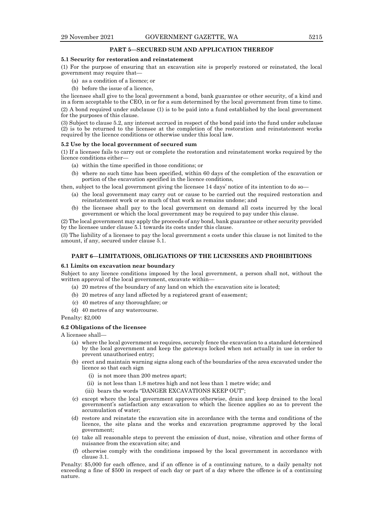#### **PART 5—SECURED SUM AND APPLICATION THEREOF**

#### **5.1 Security for restoration and reinstatement**

(1) For the purpose of ensuring that an excavation site is properly restored or reinstated, the local government may require that—

- (a) as a condition of a licence; or
- (b) before the issue of a licence,

the licensee shall give to the local government a bond, bank guarantee or other security, of a kind and in a form acceptable to the CEO, in or for a sum determined by the local government from time to time. (2) A bond required under subclause (1) is to be paid into a fund established by the local government for the purposes of this clause.

(3) Subject to clause 5.2, any interest accrued in respect of the bond paid into the fund under subclause (2) is to be returned to the licensee at the completion of the restoration and reinstatement works required by the licence conditions or otherwise under this local law.

#### **5.2 Use by the local government of secured sum**

(1) If a licensee fails to carry out or complete the restoration and reinstatement works required by the licence conditions either—

- (a) within the time specified in those conditions; or
- (b) where no such time has been specified, within 60 days of the completion of the excavation or portion of the excavation specified in the licence conditions,

then, subject to the local government giving the licensee 14 days' notice of its intention to do so—

- (a) the local government may carry out or cause to be carried out the required restoration and reinstatement work or so much of that work as remains undone; and
- (b) the licensee shall pay to the local government on demand all costs incurred by the local government or which the local government may be required to pay under this clause.

(2) The local government may apply the proceeds of any bond, bank guarantee or other security provided by the licensee under clause 5.1 towards its costs under this clause.

(3) The liability of a licensee to pay the local government s costs under this clause is not limited to the amount, if any, secured under clause 5.1.

## **PART 6—LIMITATIONS, OBLIGATIONS OF THE LICENSEES AND PROHIBITIONS**

#### **6.1 Limits on excavation near boundary**

Subject to any licence conditions imposed by the local government, a person shall not, without the written approval of the local government, excavate within—

- (a) 20 metres of the boundary of any land on which the excavation site is located;
- (b) 20 metres of any land affected by a registered grant of easement;
- (c) 40 metres of any thoroughfare; or
- (d) 40 metres of any watercourse.

Penalty: \$2,000

#### **6.2 Obligations of the licensee**

A licensee shall—

- (a) where the local government so requires, securely fence the excavation to a standard determined by the local government and keep the gateways locked when not actually in use in order to prevent unauthorised entry;
- (b) erect and maintain warning signs along each of the boundaries of the area excavated under the licence so that each sign
	- (i) is not more than 200 metres apart;
	- (ii) is not less than 1.8 metres high and not less than 1 metre wide; and
	- (iii) bears the words "DANGER EXCAVATIONS KEEP OUT";
- (c) except where the local government approves otherwise, drain and keep drained to the local government's satisfaction any excavation to which the licence applies so as to prevent the accumulation of water;
- (d) restore and reinstate the excavation site in accordance with the terms and conditions of the licence, the site plans and the works and excavation programme approved by the local government;
- (e) take all reasonable steps to prevent the emission of dust, noise, vibration and other forms of nuisance from the excavation site; and
- (f) otherwise comply with the conditions imposed by the local government in accordance with clause 3.1.

Penalty: \$5,000 for each offence, and if an offence is of a continuing nature, to a daily penalty not exceeding a fine of \$500 in respect of each day or part of a day where the offence is of a continuing nature.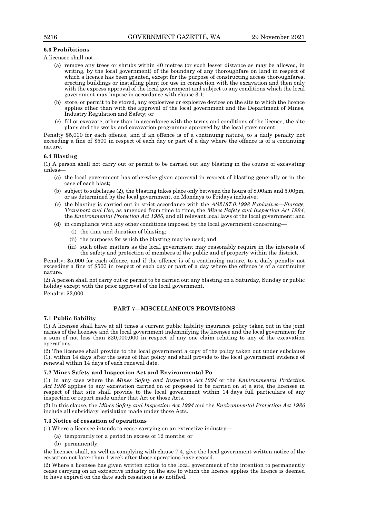# **6.3 Prohibitions**

A licensee shall not—

- (a) remove any trees or shrubs within 40 metres (or such lesser distance as may be allowed, in writing, by the local government) of the boundary of any thoroughfare on land in respect of which a licence has been granted, except for the purpose of constructing access thoroughfares, erecting buildings or installing plant for use in connection with the excavation and then only with the express approval of the local government and subject to any conditions which the local government may impose in accordance with clause 3.1;
- (b) store, or permit to be stored, any explosives or explosive devices on the site to which the licence applies other than with the approval of the local government and the Department of Mines, Industry Regulation and Safety; or
- (c) fill or excavate, other than in accordance with the terms and conditions of the licence, the site plans and the works and excavation programme approved by the local government.

Penalty \$5,000 for each offence, and if an offence is of a continuing nature, to a daily penalty not exceeding a fine of \$500 in respect of each day or part of a day where the offence is of a continuing nature.

# **6.4 Blasting**

(1) A person shall not carry out or permit to be carried out any blasting in the course of excavating unless—

- (a) the local government has otherwise given approval in respect of blasting generally or in the case of each blast;
- (b) subject to subclause (2), the blasting takes place only between the hours of 8.00am and 5.00pm, or as determined by the local government, on Mondays to Fridays inclusive;
- (c) the blasting is carried out in strict accordance with the *AS2187.0:1998 Explosives—Storage, Transport and Use*, as amended from time to time, the *Mines Safety and Inspection Act 1994*, the *Environmental Protection Act 1986*, and all relevant local laws of the local government; and
- (d) in compliance with any other conditions imposed by the local government concerning—
	- (i) the time and duration of blasting;
	- (ii) the purposes for which the blasting may be used; and
	- (iii) such other matters as the local government may reasonably require in the interests of the safety and protection of members of the public and of property within the district.

Penalty: \$5,000 for each offence, and if the offence is of a continuing nature, to a daily penalty not exceeding a fine of \$500 in respect of each day or part of a day where the offence is of a continuing nature.

(2) A person shall not carry out or permit to be carried out any blasting on a Saturday, Sunday or public holiday except with the prior approval of the local government. Penalty: \$2,000.

# **PART 7—MISCELLANEOUS PROVISIONS**

#### **7.1 Public liability**

(1) A licensee shall have at all times a current public liability insurance policy taken out in the joint names of the licensee and the local government indemnifying the licensee and the local government for a sum of not less than \$20,000,000 in respect of any one claim relating to any of the excavation operations.

(2) The licensee shall provide to the local government a copy of the policy taken out under subclause (1), within 14 days after the issue of that policy and shall provide to the local government evidence of renewal within 14 days of each renewal date.

#### **7.2 Mines Safety and Inspection Act and Environmental Po**

(1) In any case where the *Mines Safety and Inspection Act 1994* or the *Environmental Protection Act 1986* applies to any excavation carried on or proposed to be carried on at a site, the licensee in respect of that site shall provide to the local government within 14 days full particulars of any inspection or report made under that Act or those Acts.

(2) In this clause, the *Mines Safety and Inspection Act 1994* and the *Environmental Protection Act 1986* include all subsidiary legislation made under those Acts.

# **7.3 Notice of cessation of operations**

(1) Where a licensee intends to cease carrying on an extractive industry—

- (a) temporarily for a period in excess of 12 months; or
- (b) permanently,

the licensee shall, as well as complying with clause 7.4, give the local government written notice of the cessation not later than 1 week after those operations have ceased.

(2) Where a licensee has given written notice to the local government of the intention to permanently cease carrying on an extractive industry on the site to which the licence applies the licence is deemed to have expired on the date such cessation is so notified.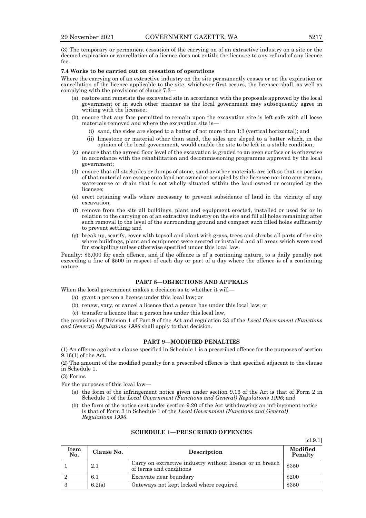(3) The temporary or permanent cessation of the carrying on of an extractive industry on a site or the deemed expiration or cancellation of a licence does not entitle the licensee to any refund of any licence fee.

#### **7.4 Works to be carried out on cessation of operations**

Where the carrying on of an extractive industry on the site permanently ceases or on the expiration or cancellation of the licence applicable to the site, whichever first occurs, the licensee shall, as well as complying with the provisions of clause 7.3—

- (a) restore and reinstate the excavated site in accordance with the proposals approved by the local government or in such other manner as the local government may subsequently agree in writing with the licensee;
- (b) ensure that any face permitted to remain upon the excavation site is left safe with all loose materials removed and where the excavation site is—
	- (i) sand, the sides are sloped to a batter of not more than 1:3 (vertical:horizontal); and
	- (ii) limestone or material other than sand, the sides are sloped to a batter which, in the opinion of the local government, would enable the site to be left in a stable condition;
- (c) ensure that the agreed floor level of the excavation is graded to an even surface or is otherwise in accordance with the rehabilitation and decommissioning programme approved by the local government;
- (d) ensure that all stockpiles or dumps of stone, sand or other materials are left so that no portion of that material can escape onto land not owned or occupied by the licensee nor into any stream, watercourse or drain that is not wholly situated within the land owned or occupied by the licensee;
- (e) erect retaining walls where necessary to prevent subsidence of land in the vicinity of any excavation;
- (f) remove from the site all buildings, plant and equipment erected, installed or used for or in relation to the carrying on of an extractive industry on the site and fill all holes remaining after such removal to the level of the surrounding ground and compact such filled holes sufficiently to prevent settling; and
- (g) break up, scarify, cover with topsoil and plant with grass, trees and shrubs all parts of the site where buildings, plant and equipment were erected or installed and all areas which were used for stockpiling unless otherwise specified under this local law.

Penalty: \$5,000 for each offence, and if the offence is of a continuing nature, to a daily penalty not exceeding a fine of \$500 in respect of each day or part of a day where the offence is of a continuing nature.

# **PART 8—OBJECTIONS AND APPEALS**

When the local government makes a decision as to whether it will—

- (a) grant a person a licence under this local law; or
- (b) renew, vary, or cancel a licence that a person has under this local law; or
- (c) transfer a licence that a person has under this local law,

the provisions of Division 1 of Part 9 of the Act and regulation 33 of the *Local Government (Functions and General) Regulations 1996* shall apply to that decision.

## **PART 9—MODIFIED PENALTIES**

(1) An offence against a clause specified in Schedule 1 is a prescribed offence for the purposes of section 9.16(1) of the Act.

(2) The amount of the modified penalty for a prescribed offence is that specified adjacent to the clause in Schedule 1.

(3) Forms

For the purposes of this local law—

- (a) the form of the infringement notice given under section 9.16 of the Act is that of Form 2 in Schedule 1 of the *Local Government (Functions and General) Regulations 1996*; and
- (b) the form of the notice sent under section 9.20 of the Act withdrawing an infringement notice is that of Form 3 in Schedule 1 of the *Local Government (Functions and General) Regulations 1996*.

| Item<br>No. | Clause No. | <b>Description</b>                                                                   | Modified<br>Penalty |
|-------------|------------|--------------------------------------------------------------------------------------|---------------------|
|             | 2.1        | Carry on extractive industry without licence or in breach<br>of terms and conditions | \$350               |
|             | $6.1\,$    | Excavate near boundary                                                               | \$200               |
|             | 6.2(a)     | Gateways not kept locked where required                                              | \$350               |

#### **SCHEDULE 1—PRESCRIBED OFFENCES**

[cl.9.1]